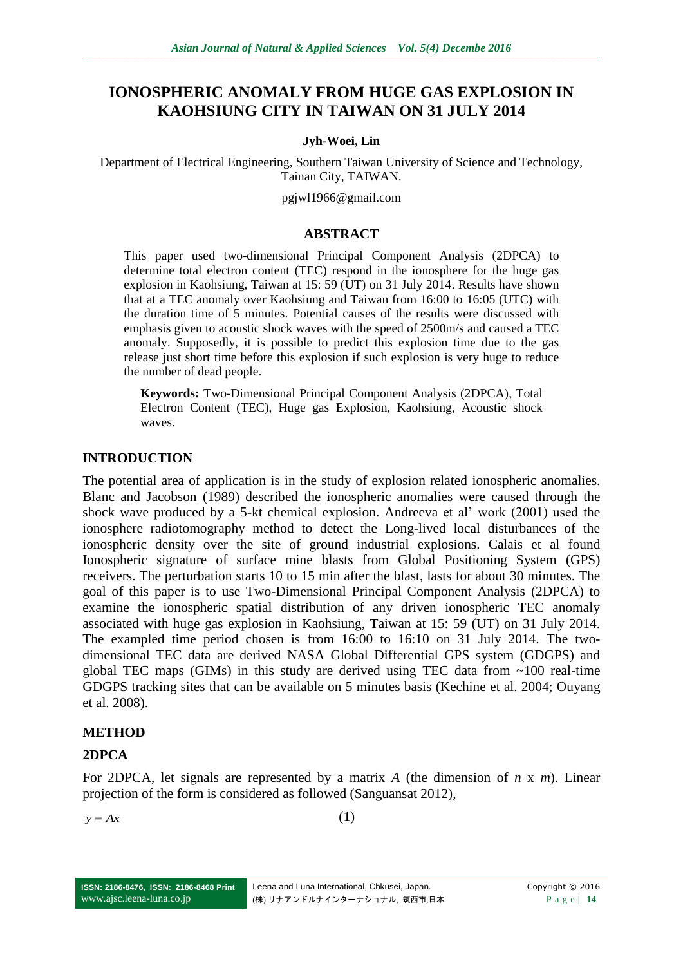# **IONOSPHERIC ANOMALY FROM HUGE GAS EXPLOSION IN KAOHSIUNG CITY IN TAIWAN ON 31 JULY 2014**

#### **Jyh-Woei, Lin**

Department of Electrical Engineering, Southern Taiwan University of Science and Technology, Tainan City, TAIWAN.

pgjwl1966@gmail.com

#### **ABSTRACT**

This paper used two-dimensional Principal Component Analysis (2DPCA) to determine total electron content (TEC) respond in the ionosphere for the huge gas explosion in Kaohsiung, Taiwan at 15: 59 ( $\overline{UT}$ ) on 31 July 2014. Results have shown that at a TEC anomaly over Kaohsiung and Taiwan from 16:00 to 16:05 (UTC) with the duration time of 5 minutes. Potential causes of the results were discussed with emphasis given to acoustic shock waves with the speed of 2500m/s and caused a TEC anomaly. Supposedly, it is possible to predict this explosion time due to the gas release just short time before this explosion if such explosion is very huge to reduce the number of dead people.

**Keywords:** Two-Dimensional Principal Component Analysis (2DPCA), Total Electron Content (TEC), Huge gas Explosion, Kaohsiung, Acoustic shock waves.

### **INTRODUCTION**

The potential area of application is in the study of explosion related ionospheric anomalies. Blanc and Jacobson (1989) described the ionospheric anomalies were caused through the shock wave produced by a 5-kt chemical explosion. Andreeva et al' work (2001) used the ionosphere radiotomography method to detect the Long-lived local disturbances of the ionospheric density over the site of ground industrial explosions. Calais et al found Ionospheric signature of surface mine blasts from Global Positioning System (GPS) receivers. The perturbation starts 10 to 15 min after the blast, lasts for about 30 minutes. The goal of this paper is to use Two-Dimensional Principal Component Analysis (2DPCA) to examine the ionospheric spatial distribution of any driven ionospheric TEC anomaly associated with huge gas explosion in Kaohsiung, Taiwan at 15: 59 (UT) on 31 July 2014. The exampled time period chosen is from 16:00 to 16:10 on 31 July 2014. The twodimensional TEC data are derived NASA Global Differential GPS system (GDGPS) and global TEC maps (GIMs) in this study are derived using TEC data from ~100 real-time GDGPS tracking sites that can be available on 5 minutes basis (Kechine et al. 2004; Ouyang et al. 2008).

### **METHOD**

### **2DPCA**

For 2DPCA, let signals are represented by a matrix *A* (the dimension of *n* x *m*). Linear projection of the form is considered as followed (Sanguansat 2012),

 $y = Ax$  (1)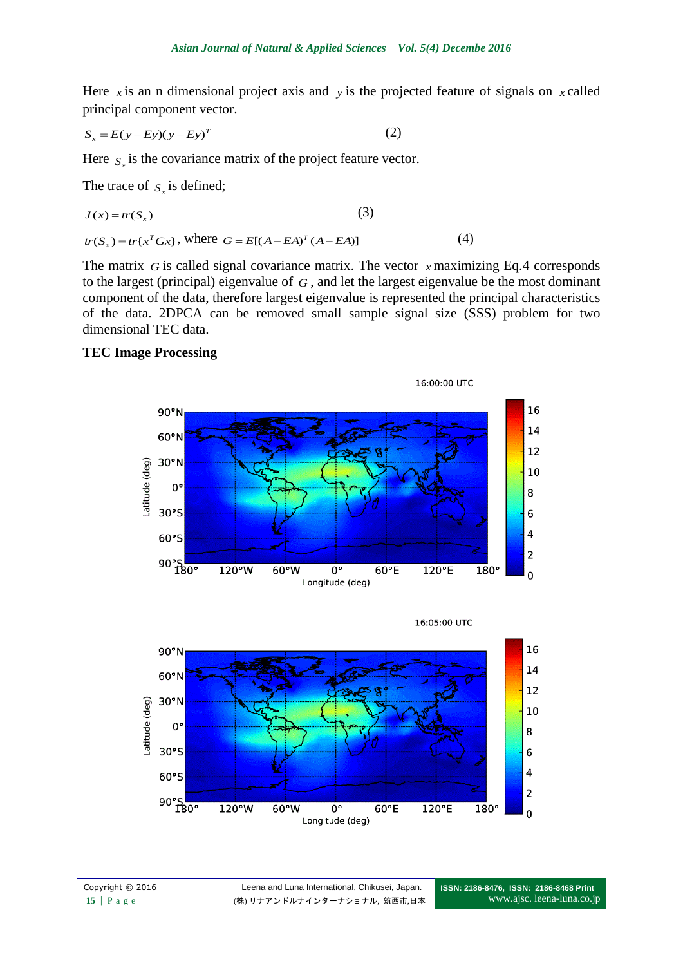Here x is an n dimensional project axis and y is the projected feature of signals on x called principal component vector.

$$
S_x = E(y - Ey)(y - Ey)^T
$$
 (2)

Here  $S_x$  is the covariance matrix of the project feature vector.

The trace of  $S_x$  is defined;

$$
J(x) = tr(Sx)
$$
\n
$$
tr(Sx) = tr{xT Gx}, where G = E[(A - EA)T (A - EA)]
$$
\n(4)

The matrix  $G$  is called signal covariance matrix. The vector  $x$  maximizing Eq.4 corresponds to the largest (principal) eigenvalue of *G* , and let the largest eigenvalue be the most dominant component of the data, therefore largest eigenvalue is represented the principal characteristics of the data. 2DPCA can be removed small sample signal size (SSS) problem for two dimensional TEC data.

## **TEC Image Processing**



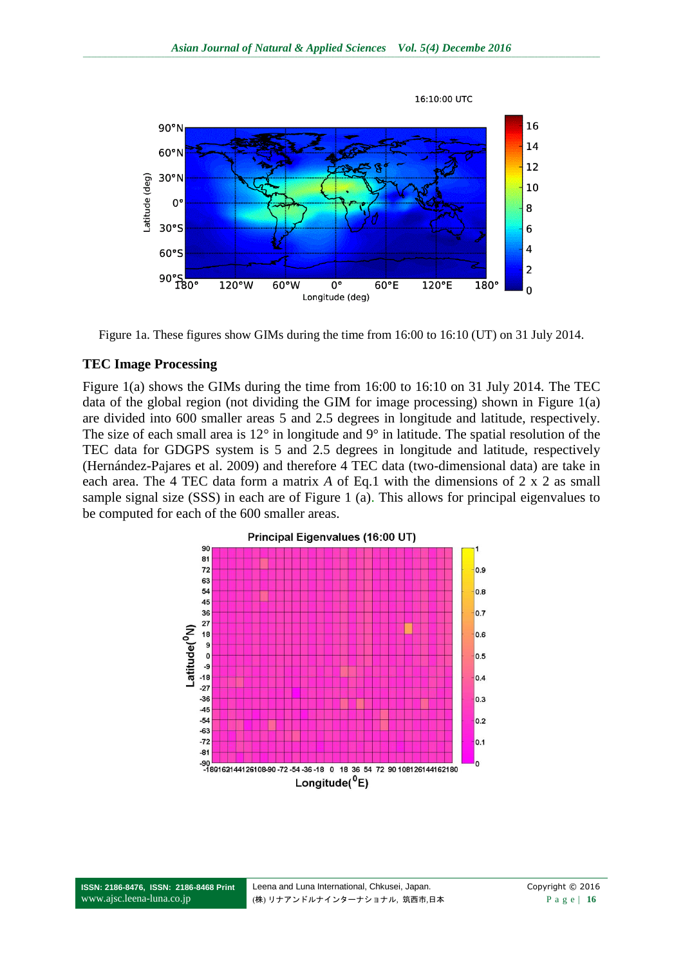

Figure 1a. These figures show GIMs during the time from 16:00 to 16:10 (UT) on 31 July 2014.

### **TEC Image Processing**

Figure 1(a) shows the GIMs during the time from 16:00 to 16:10 on 31 July 2014. The TEC data of the global region (not dividing the GIM for image processing) shown in Figure 1(a) are divided into 600 smaller areas 5 and 2.5 degrees in longitude and latitude, respectively. The size of each small area is 12° in longitude and 9° in latitude. The spatial resolution of the TEC data for GDGPS system is 5 and 2.5 degrees in longitude and latitude, respectively (Hernández-Pajares et al. 2009) and therefore 4 TEC data (two-dimensional data) are take in each area. The 4 TEC data form a matrix *A* of Eq.1 with the dimensions of 2 x 2 as small sample signal size (SSS) in each are of Figure 1 (a). This allows for principal eigenvalues to be computed for each of the 600 smaller areas.

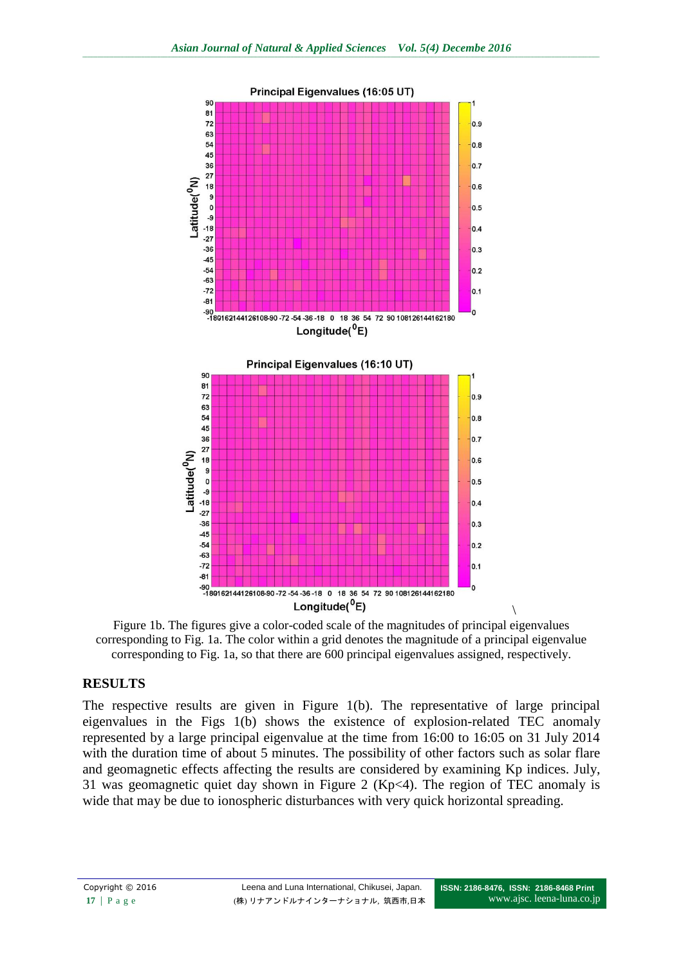

Figure 1b. The figures give a color-coded scale of the magnitudes of principal eigenvalues corresponding to Fig. 1a. The color within a grid denotes the magnitude of a principal eigenvalue corresponding to Fig. 1a, so that there are 600 principal eigenvalues assigned, respectively.

### **RESULTS**

The respective results are given in Figure 1(b). The representative of large principal eigenvalues in the Figs 1(b) shows the existence of explosion-related TEC anomaly represented by a large principal eigenvalue at the time from 16:00 to 16:05 on 31 July 2014 with the duration time of about 5 minutes. The possibility of other factors such as solar flare and geomagnetic effects affecting the results are considered by examining Kp indices. July, 31 was geomagnetic quiet day shown in Figure 2 (Kp<4). The region of TEC anomaly is wide that may be due to ionospheric disturbances with very quick horizontal spreading.

 $\setminus$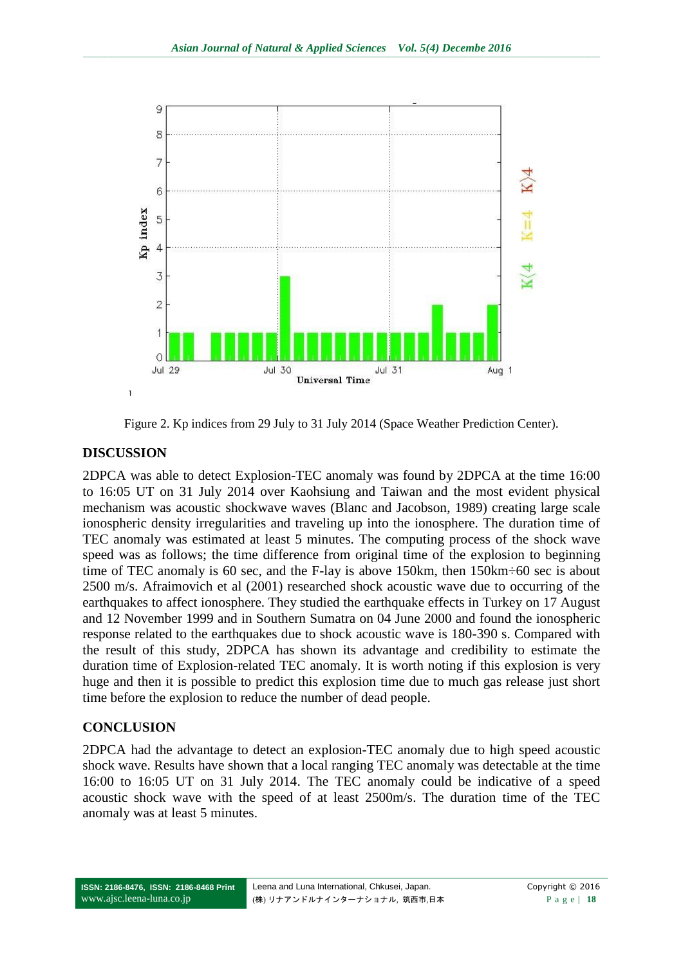

Figure 2. Kp indices from 29 July to 31 July 2014 (Space Weather Prediction Center).

## **DISCUSSION**

2DPCA was able to detect Explosion-TEC anomaly was found by 2DPCA at the time 16:00 to 16:05 UT on 31 July 2014 over Kaohsiung and Taiwan and the most evident physical mechanism was acoustic shockwave waves (Blanc and Jacobson, 1989) creating large scale ionospheric density irregularities and traveling up into the ionosphere. The duration time of TEC anomaly was estimated at least 5 minutes. The computing process of the shock wave speed was as follows; the time difference from original time of the explosion to beginning time of TEC anomaly is 60 sec, and the F-lay is above 150km, then 150km÷60 sec is about 2500 m/s. Afraimovich et al (2001) researched shock acoustic wave due to occurring of the earthquakes to affect ionosphere. They studied the earthquake effects in Turkey on 17 August and 12 November 1999 and in Southern Sumatra on 04 June 2000 and found the ionospheric response related to the earthquakes due to shock acoustic wave is 180-390 s. Compared with the result of this study, 2DPCA has shown its advantage and credibility to estimate the duration time of Explosion-related TEC anomaly. It is worth noting if this explosion is very huge and then it is possible to predict this explosion time due to much gas release just short time before the explosion to reduce the number of dead people.

## **CONCLUSION**

2DPCA had the advantage to detect an explosion-TEC anomaly due to high speed acoustic shock wave. Results have shown that a local ranging TEC anomaly was detectable at the time 16:00 to 16:05 UT on 31 July 2014. The TEC anomaly could be indicative of a speed acoustic shock wave with the speed of at least 2500m/s. The duration time of the TEC anomaly was at least 5 minutes.